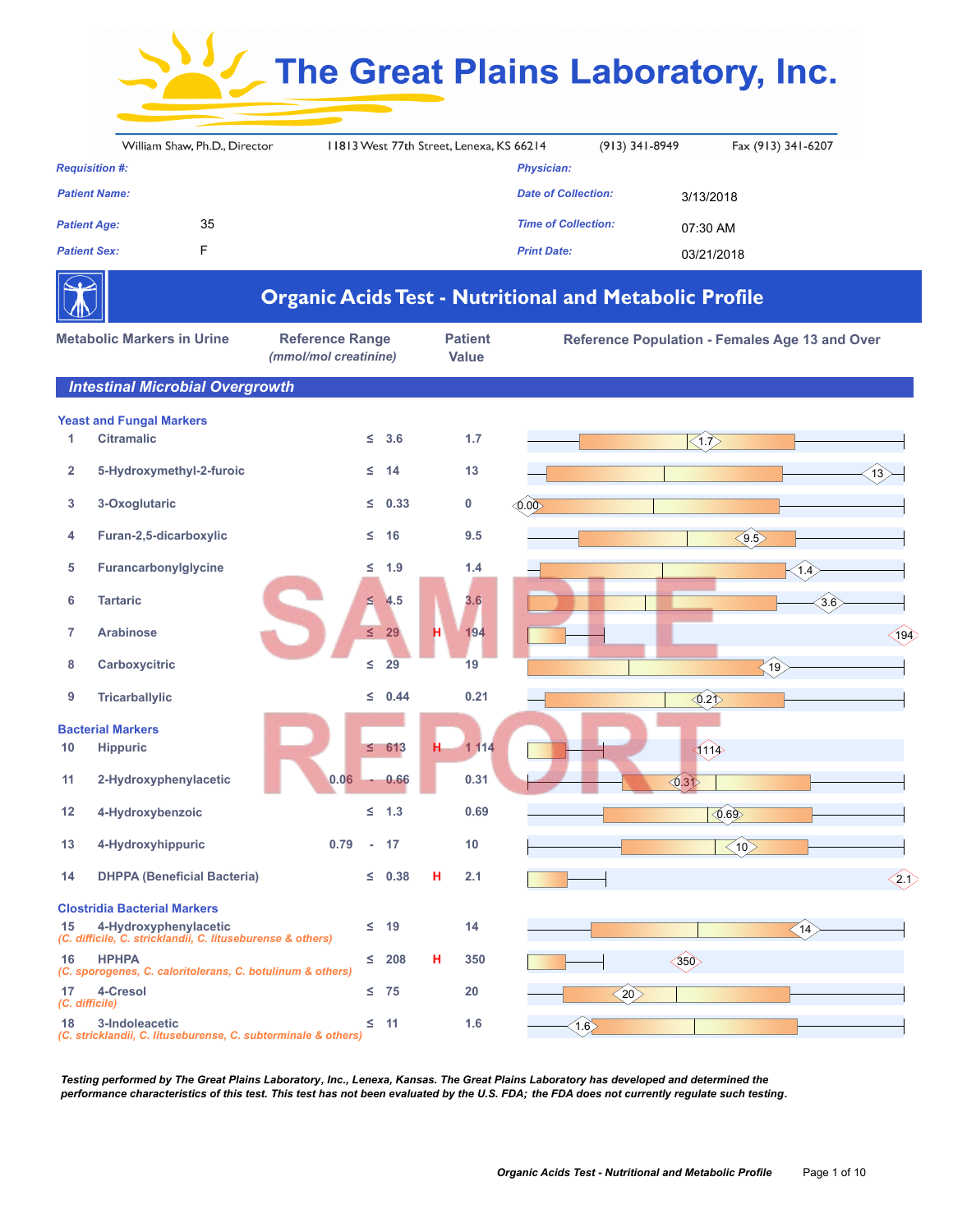|                       | William Shaw, Ph.D., Director | 11813 West 77th Street, Lenexa, KS 66214 |                            | $(913)$ 341-8949 | Fax (913) 341-6207 |
|-----------------------|-------------------------------|------------------------------------------|----------------------------|------------------|--------------------|
| <b>Requisition #:</b> |                               |                                          | <b>Physician:</b>          |                  |                    |
| <b>Patient Name:</b>  |                               |                                          | <b>Date of Collection:</b> |                  | 3/13/2018          |
| <b>Patient Age:</b>   | 35                            |                                          | <b>Time of Collection:</b> |                  | 07:30 AM           |
| <b>Patient Sex:</b>   |                               |                                          | <b>Print Date:</b>         |                  | 03/21/2018         |

 $\sqrt{2}$ 

|                         |                                                                                        |      |        |             |   |                                | <b>Organic Acids Test - Nutritional and Metabolic Profile</b> |  |  |
|-------------------------|----------------------------------------------------------------------------------------|------|--------|-------------|---|--------------------------------|---------------------------------------------------------------|--|--|
|                         | <b>Metabolic Markers in Urine</b><br><b>Reference Range</b><br>(mmol/mol creatinine)   |      |        |             |   | <b>Patient</b><br><b>Value</b> | Reference Population - Females Age 13 and Over                |  |  |
|                         | <b>Intestinal Microbial Overgrowth</b>                                                 |      |        |             |   |                                |                                                               |  |  |
| 1                       | <b>Yeast and Fungal Markers</b><br><b>Citramalic</b>                                   |      | ≤      | 3.6         |   | 1.7                            | $\langle 1.7 \rangle$                                         |  |  |
| $\overline{\mathbf{2}}$ | 5-Hydroxymethyl-2-furoic                                                               |      | ≤      | 14          |   | 13                             | (13)                                                          |  |  |
| 3                       | 3-Oxoglutaric                                                                          |      | ≤      | 0.33        |   | 0                              | $\sqrt{0.00}$                                                 |  |  |
| 4                       | Furan-2,5-dicarboxylic                                                                 |      | ≤      | 16          |   | 9.5                            | $\langle 9.5 \rangle$                                         |  |  |
| 5                       | Furancarbonylglycine                                                                   |      | ≤      | 1.9         |   | 1.4                            | (1.4)                                                         |  |  |
| 6                       | <b>Tartaric</b>                                                                        |      | $\leq$ | 4.5         |   | 3.6                            | 3.6                                                           |  |  |
| 7                       | <b>Arabinose</b>                                                                       |      | $\leq$ | 29          | н | 194                            | $\langle 194 \rangle$                                         |  |  |
| 8                       | Carboxycitric                                                                          |      | ≤      | 29          |   | 19                             | $\left\langle 19\right\rangle$                                |  |  |
| 9                       | <b>Tricarballylic</b>                                                                  |      | ≤      | 0.44        |   | 0.21                           | $\overline{\langle 0.2\rangle}$                               |  |  |
|                         | <b>Bacterial Markers</b>                                                               |      |        |             |   |                                |                                                               |  |  |
| 10                      | <b>Hippuric</b>                                                                        |      | ≤      | 613         | н | 1 1 1 4                        | (11)                                                          |  |  |
| 11                      | 2-Hydroxyphenylacetic                                                                  | 0.06 |        | 0.66        |   | 0.31                           | $\overline{\triangleleft}$ .3 $\overline{\triangleright}$     |  |  |
| 12                      | 4-Hydroxybenzoic                                                                       |      | $\leq$ | 1.3         |   | 0.69                           | (6.69)                                                        |  |  |
| 13                      | 4-Hydroxyhippuric                                                                      | 0.79 | ٠      | 17          |   | 10                             | $\langle 10 \rangle$                                          |  |  |
| 14                      | <b>DHPPA (Beneficial Bacteria)</b>                                                     |      |        | $\leq$ 0.38 | н | 2.1                            | $\big\langle 2.1 \big\rangle$                                 |  |  |
|                         | <b>Clostridia Bacterial Markers</b>                                                    |      |        |             |   |                                |                                                               |  |  |
|                         | 15 4-Hydroxyphenylacetic<br>(C. difficile, C. stricklandii, C. lituseburense & others) |      | ≤      | - 19        |   | 14                             | $\langle 14 \rangle$                                          |  |  |
| 16                      | <b>HPHPA</b><br>(C. sporogenes, C. caloritolerans, C. botulinum & others)              |      | $\leq$ | 208         | н | 350                            | $\langle 350 \rangle$                                         |  |  |
| 17                      | 4-Cresol<br>(C. difficile)                                                             |      | ≤      | 75          |   | 20                             | $\langle 20 \rangle$                                          |  |  |
| 18                      | 3-Indoleacetic<br>(C. stricklandii, C. lituseburense, C. subterminale & others)        |      | ≤      | $-11$       |   | 1.6                            | $\langle 1.6 \rangle$                                         |  |  |

*Testing performed by The Great Plains Laboratory, Inc., Lenexa, Kansas. The Great Plains Laboratory has developed and determined the performance characteristics of this test. This test has not been evaluated by the U.S. FDA; the FDA does not currently regulate such testing.*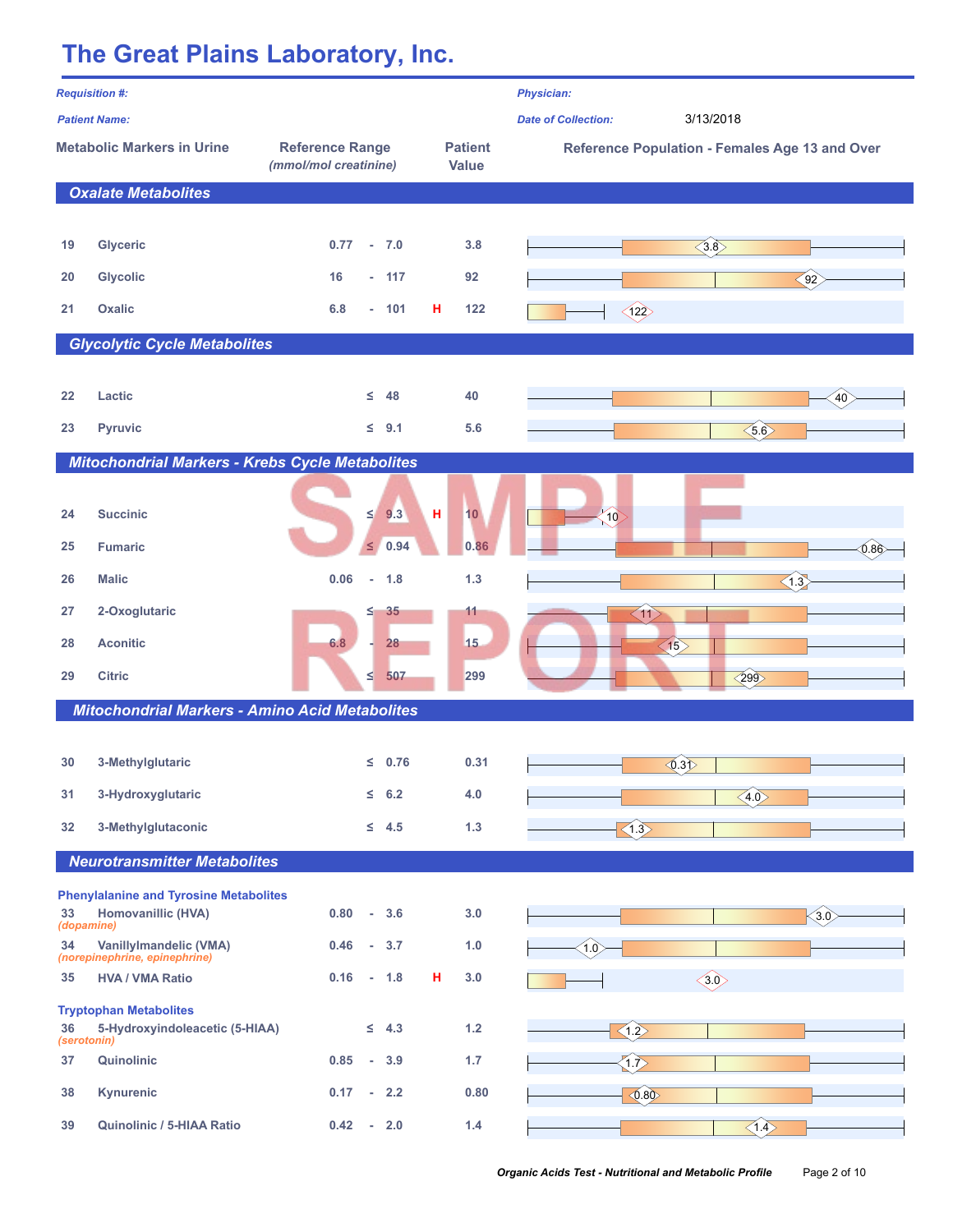|                   | <b>Requisition #:</b><br><b>Patient Name:</b>                       |                                                 |               |                                | <b>Physician:</b><br><b>Date of Collection:</b> | 3/13/2018                                      |                                |  |
|-------------------|---------------------------------------------------------------------|-------------------------------------------------|---------------|--------------------------------|-------------------------------------------------|------------------------------------------------|--------------------------------|--|
|                   | <b>Metabolic Markers in Urine</b>                                   | <b>Reference Range</b><br>(mmol/mol creatinine) |               | <b>Patient</b><br><b>Value</b> |                                                 | Reference Population - Females Age 13 and Over |                                |  |
|                   | <b>Oxalate Metabolites</b>                                          |                                                 |               |                                |                                                 |                                                |                                |  |
| 19                | Glyceric                                                            | 0.77<br>$\sim$                                  | 7.0           | 3.8                            |                                                 | $\left\langle 3.8\right\rangle$                |                                |  |
| 20                | <b>Glycolic</b>                                                     | 16<br>Ĺ,                                        | 117           | 92                             |                                                 |                                                | $\left\langle 92\right\rangle$ |  |
| 21                | <b>Oxalic</b>                                                       | 6.8                                             | $-101$        | н<br>122                       |                                                 | $\langle 122 \rangle$                          |                                |  |
|                   | <b>Glycolytic Cycle Metabolites</b>                                 |                                                 |               |                                |                                                 |                                                |                                |  |
| 22                | Lactic                                                              |                                                 | $\leq$<br>48  | 40                             |                                                 |                                                | (40)                           |  |
| 23                | <b>Pyruvic</b>                                                      | ≤                                               | 9.1           | 5.6                            |                                                 |                                                | $\langle 5.6 \rangle$          |  |
|                   | <b>Mitochondrial Markers - Krebs Cycle Metabolites</b>              |                                                 |               |                                |                                                 |                                                |                                |  |
| 24                | <b>Succinic</b>                                                     | $\leq$                                          | 9.3           | н<br>10                        | (10)                                            |                                                |                                |  |
| 25                | <b>Fumaric</b>                                                      | $\leq$                                          | 0.94          | 0.86                           |                                                 |                                                | 6.86                           |  |
| 26                | <b>Malic</b>                                                        | 0.06<br>$\sim$                                  | 1.8           | 1.3                            |                                                 |                                                | $\overline{\left(1.3\right)}$  |  |
| 27                | 2-Oxoglutaric                                                       | ≤                                               | 35            | 11                             |                                                 | $\langle 11 \rangle$                           |                                |  |
| 28                | <b>Aconitic</b>                                                     | 6.8<br>٠                                        | 28            | 15                             |                                                 | $\langle 15 \rangle$                           |                                |  |
| 29                | <b>Citric</b>                                                       | ≤∣                                              | 507           | 299                            |                                                 |                                                | $\langle 299 \rangle$          |  |
|                   | <b>Mitochondrial Markers - Amino Acid Metabolites</b>               |                                                 |               |                                |                                                 |                                                |                                |  |
| 30                | 3-Methylglutaric                                                    |                                                 | $\leq$ 0.76   | 0.31                           |                                                 | $\overline{\diamond}$ .3 $\overline{\diamond}$ |                                |  |
| 31                | 3-Hydroxyglutaric                                                   |                                                 | $\leq$ 6.2    | 4.0                            |                                                 |                                                | $\langle 4.0 \rangle$          |  |
| 32                | 3-Methylglutaconic                                                  |                                                 | $\leq$ 4.5    | $1.3$                          |                                                 | $\langle 1.3 \rangle$                          |                                |  |
|                   | <b>Neurotransmitter Metabolites</b>                                 |                                                 |               |                                |                                                 |                                                |                                |  |
| 33<br>(dopamine)  | <b>Phenylalanine and Tyrosine Metabolites</b><br>Homovanillic (HVA) | 0.80<br>÷.                                      | 3.6           | 3.0                            |                                                 |                                                | (3.0)                          |  |
| 34                | VanillyImandelic (VMA)                                              | 0.46                                            | 3.7<br>٠      | 1.0                            | (1.0)                                           |                                                |                                |  |
| 35                | (norepinephrine, epinephrine)<br><b>HVA / VMA Ratio</b>             | 0.16<br>$\sim$                                  | 1.8           | н<br>3.0                       |                                                 | $\langle 3.0 \rangle$                          |                                |  |
| 36                | <b>Tryptophan Metabolites</b><br>5-Hydroxyindoleacetic (5-HIAA)     |                                                 | $\leq$ 4.3    | $1.2$                          |                                                 | $\overline{\langle 1.2 \rangle}$               |                                |  |
| (serotonin)<br>37 | Quinolinic                                                          | 0.85<br>$\overline{\phantom{a}}$                | 3.9           | 1.7                            |                                                 | $\langle 1.7 \rangle$                          |                                |  |
| 38                | Kynurenic                                                           | 0.17                                            | 2.2<br>$\sim$ | 0.80                           |                                                 | $\overline{\textcircled{0.80}}$                |                                |  |
| 39                | <b>Quinolinic / 5-HIAA Ratio</b>                                    | 0.42<br>$\overline{\phantom{a}}$                | 2.0           | 1.4                            |                                                 |                                                | $\langle 1.4 \rangle$          |  |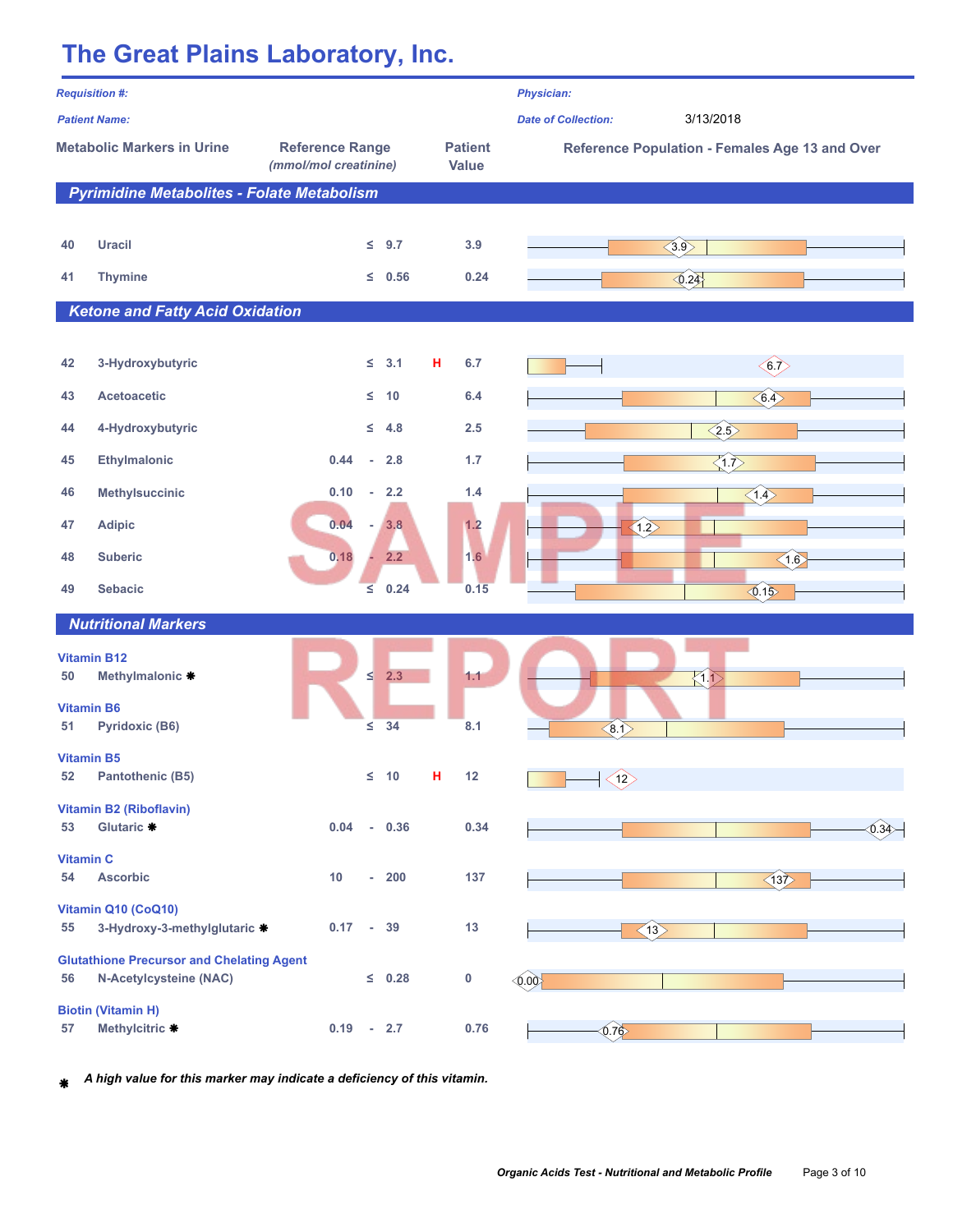|                                   | <b>Requisition #:</b>                                                      |                                                 |                             |                                |   |                                                | <b>Physician:</b>                              |
|-----------------------------------|----------------------------------------------------------------------------|-------------------------------------------------|-----------------------------|--------------------------------|---|------------------------------------------------|------------------------------------------------|
|                                   | <b>Patient Name:</b>                                                       |                                                 |                             |                                |   |                                                | 3/13/2018<br><b>Date of Collection:</b>        |
| <b>Metabolic Markers in Urine</b> |                                                                            | <b>Reference Range</b><br>(mmol/mol creatinine) |                             | <b>Patient</b><br><b>Value</b> |   | Reference Population - Females Age 13 and Over |                                                |
|                                   | <b>Pyrimidine Metabolites - Folate Metabolism</b>                          |                                                 |                             |                                |   |                                                |                                                |
| 40                                | <b>Uracil</b>                                                              |                                                 |                             | $\leq$ 9.7                     |   | 3.9                                            | $\langle 3.9 \rangle$                          |
| 41                                | <b>Thymine</b>                                                             |                                                 | ≤.                          | 0.56                           |   | 0.24                                           | $\sqrt{0.24}$                                  |
|                                   | <b>Ketone and Fatty Acid Oxidation</b>                                     |                                                 |                             |                                |   |                                                |                                                |
| 42<br>43                          | 3-Hydroxybutyric<br><b>Acetoacetic</b>                                     |                                                 | ≤<br>$\leq$                 | 3.1<br>10                      | н | 6.7<br>6.4                                     | $\langle 6.7 \rangle$<br>$\langle 6.4 \rangle$ |
| 44                                | 4-Hydroxybutyric                                                           |                                                 | ≤                           | 4.8                            |   | 2.5                                            |                                                |
| 45                                | Ethylmalonic                                                               | 0.44                                            | $\overline{\phantom{a}}$    | 2.8                            |   | 1.7                                            | $\langle 2.5 \rangle$<br>$\langle 1.7 \rangle$ |
| 46                                | <b>Methylsuccinic</b>                                                      | 0.10                                            | $\mathcal{L}_{\mathcal{A}}$ | 2.2                            |   | 1.4                                            | $\left\langle 1.4\right\rangle$                |
| 47                                | <b>Adipic</b>                                                              | 0.04                                            | ä,                          | 3.8                            |   | 1.2                                            | $\langle 1.2 \rangle$                          |
| 48                                | <b>Suberic</b>                                                             | 0.18                                            |                             | 2.2                            |   | 1.6                                            | $\langle 1.6 \rangle$                          |
| 49                                | <b>Sebacic</b>                                                             |                                                 | ≤                           | 0.24                           |   | 0.15                                           | 4.15                                           |
|                                   | <b>Nutritional Markers</b>                                                 |                                                 |                             |                                |   |                                                |                                                |
| 50                                | <b>Vitamin B12</b><br>Methylmalonic *                                      |                                                 |                             | $\leq$ 2.3                     |   | 1.1                                            | $\langle 1.1 \rangle$                          |
| 51                                | <b>Vitamin B6</b><br><b>Pyridoxic (B6)</b>                                 |                                                 | ≤                           | 34                             |   | 8.1                                            | $\langle 8.1 \rangle$                          |
|                                   | <b>Vitamin B5</b>                                                          |                                                 |                             |                                |   |                                                |                                                |
| 52                                | <b>Pantothenic (B5)</b>                                                    |                                                 |                             | $\leq$ 10                      | H | 12                                             | $\langle 12 \rangle$                           |
| 53                                | Vitamin B2 (Riboflavin)<br>Glutaric *                                      | 0.04                                            |                             | $-0.36$                        |   | 0.34                                           | 0.34                                           |
| <b>Vitamin C</b><br>54            | <b>Ascorbic</b>                                                            | 10                                              |                             | $-200$                         |   | 137                                            | $\overline{\left\langle 137\right\rangle }$    |
|                                   |                                                                            |                                                 |                             |                                |   |                                                |                                                |
| 55                                | Vitamin Q10 (CoQ10)<br>3-Hydroxy-3-methylglutaric *                        | 0.17                                            | $\sim$                      | 39                             |   | 13                                             | $\langle 13 \rangle$                           |
| 56                                | <b>Glutathione Precursor and Chelating Agent</b><br>N-Acetylcysteine (NAC) |                                                 |                             | $\leq$ 0.28                    |   | 0                                              | $\overline{\left(0.0\right)}$                  |
| 57                                | <b>Biotin (Vitamin H)</b><br>Methylcitric *                                | $0.19 - 2.7$                                    |                             |                                |   | 0.76                                           | (0.76)                                         |

ä *A high value for this marker may indicate a deficiency of this vitamin.*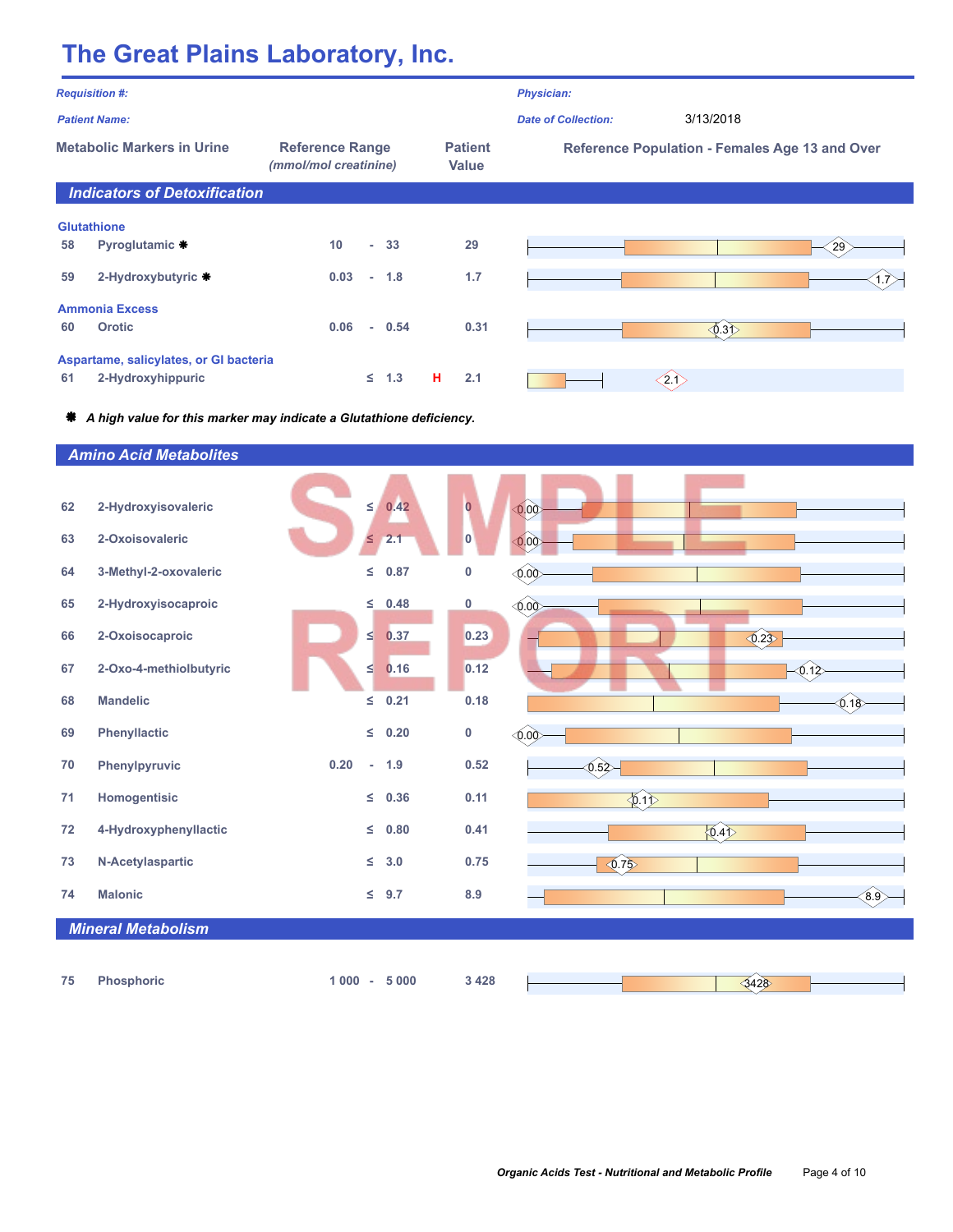|                                   | <b>Requisition #:</b>                                       |                                                 |                                | <b>Physician:</b>                                     |                                                |    |
|-----------------------------------|-------------------------------------------------------------|-------------------------------------------------|--------------------------------|-------------------------------------------------------|------------------------------------------------|----|
|                                   | <b>Patient Name:</b>                                        |                                                 |                                | <b>Date of Collection:</b>                            | 3/13/2018                                      |    |
| <b>Metabolic Markers in Urine</b> |                                                             | <b>Reference Range</b><br>(mmol/mol creatinine) | <b>Patient</b><br><b>Value</b> | <b>Reference Population - Females Age 13 and Over</b> |                                                |    |
|                                   | <b>Indicators of Detoxification</b>                         |                                                 |                                |                                                       |                                                |    |
| 58<br>59                          | <b>Glutathione</b><br>Pyroglutamic *<br>2-Hydroxybutyric *  | 10<br>$-33$<br>0.03<br>1.8<br>×.                | 29<br>1.7                      |                                                       |                                                | 29 |
| 60                                | <b>Ammonia Excess</b><br><b>Orotic</b>                      | 0.06<br>0.54<br>A.                              | 0.31                           |                                                       | $\overline{\diamond}$ .3 $\overline{\diamond}$ |    |
| 61                                | Aspartame, salicylates, or GI bacteria<br>2-Hydroxyhippuric | 1.3<br>$\leq$                                   | н<br>2.1                       |                                                       | $\langle 2.1 \rangle$                          |    |

ä *A high value for this marker may indicate a Glutathione deficiency.*

|    | <b>Amino Acid Metabolites</b> |                                  |               |                         |                              |  |  |
|----|-------------------------------|----------------------------------|---------------|-------------------------|------------------------------|--|--|
|    |                               |                                  |               |                         |                              |  |  |
| 62 | 2-Hydroxyisovaleric           | $\leq$                           | 0.42          | $\overline{\mathbf{0}}$ | $\bigotimes$ $\bigotimes$    |  |  |
| 63 | 2-Oxoisovaleric               | $\leq$                           | 2.1           | 0                       | $\bigcirc$ .00               |  |  |
| 64 | 3-Methyl-2-oxovaleric         | ≤                                | 0.87          | $\mathbf 0$             | $\overline{\phi}$ .00        |  |  |
| 65 | 2-Hydroxyisocaproic           | ≤                                | 0.48          | 0                       | $\overline{\textcircled{0}}$ |  |  |
| 66 | 2-Oxoisocaproic               | ≤                                | 0.37          | 0.23                    | $\sqrt{(23)}$                |  |  |
| 67 | 2-Oxo-4-methiolbutyric        | $\leq$                           | 0.16          | 0.12                    | $\triangle$ .12              |  |  |
| 68 | <b>Mandelic</b>               | $\leq$                           | 0.21          | 0.18                    | 0.18                         |  |  |
| 69 | Phenyllactic                  | ≤                                | 0.20          | $\bf{0}$                | $\Diamond$ .00 $\Diamond$    |  |  |
| 70 | Phenylpyruvic                 | 0.20<br>$\overline{\phantom{a}}$ | 1.9           | 0.52                    | $\langle 0.52 \rangle$       |  |  |
| 71 | Homogentisic                  | $\leq$                           | 0.36          | 0.11                    | $\sqrt{0.1}$                 |  |  |
| 72 | 4-Hydroxyphenyllactic         | ≤                                | 0.80          | 0.41                    | (4)                          |  |  |
| 73 | N-Acetylaspartic              | ≤                                | 3.0           | 0.75                    | (0.75)                       |  |  |
| 74 | <b>Malonic</b>                | $\leq$                           | 9.7           | 8.9                     | (8.9)                        |  |  |
|    | <b>Mineral Metabolism</b>     |                                  |               |                         |                              |  |  |
|    |                               |                                  |               |                         |                              |  |  |
| 75 | Phosphoric                    |                                  | $1000 - 5000$ | 3 4 2 8                 | 3428                         |  |  |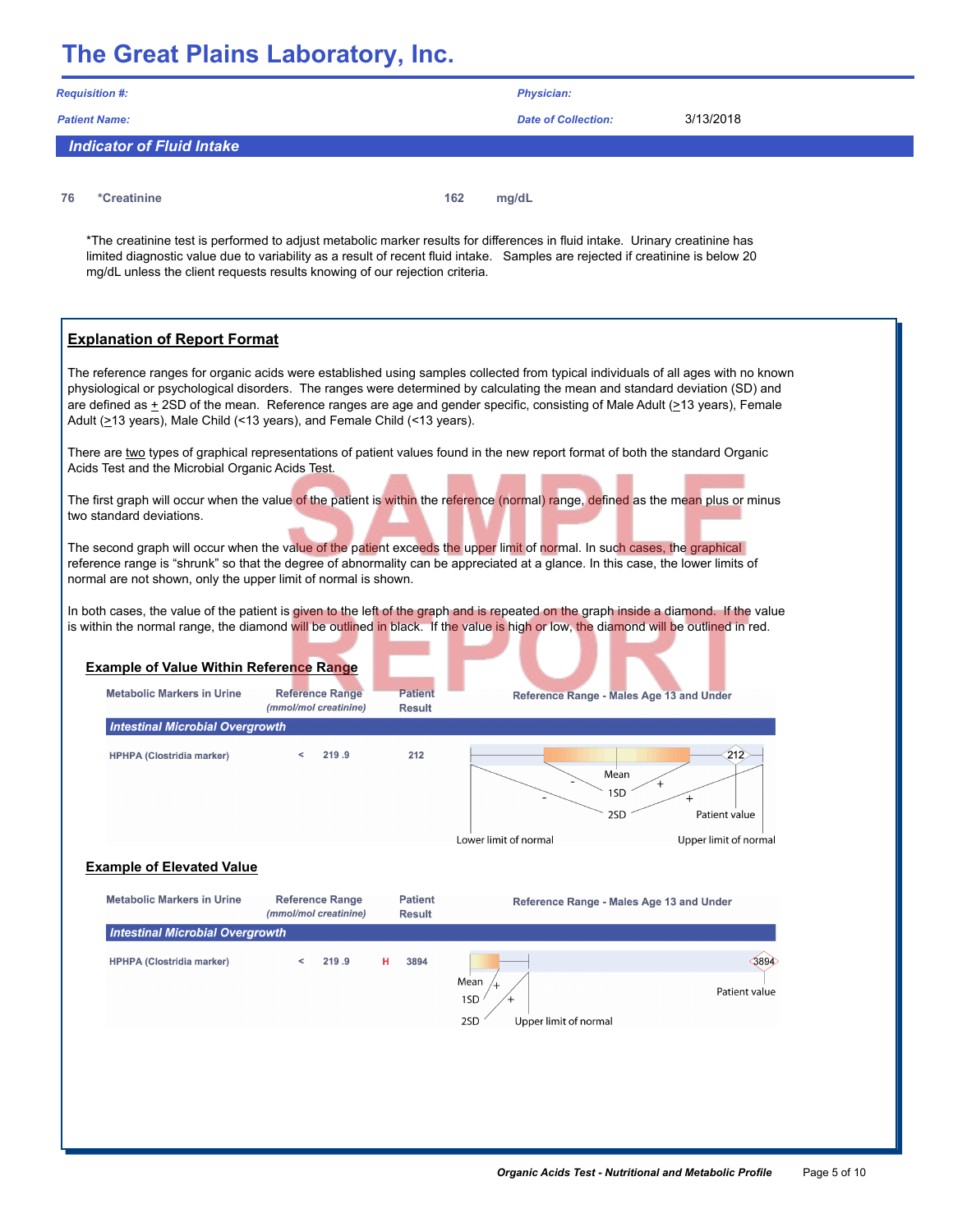| <b>Requisition #:</b>            | <b>Physician:</b>          |           |
|----------------------------------|----------------------------|-----------|
| <b>Patient Name:</b>             | <b>Date of Collection:</b> | 3/13/2018 |
| <b>Indicator of Fluid Intake</b> |                            |           |
|                                  |                            |           |

**76 \*Creatinine 162 mg/dL**

\*The creatinine test is performed to adjust metabolic marker results for differences in fluid intake. Urinary creatinine has limited diagnostic value due to variability as a result of recent fluid intake. Samples are rejected if creatinine is below 20 mg/dL unless the client requests results knowing of our rejection criteria.

### **Explanation of Report Format**

The reference ranges for organic acids were established using samples collected from typical individuals of all ages with no known physiological or psychological disorders. The ranges were determined by calculating the mean and standard deviation (SD) and are defined as + 2SD of the mean. Reference ranges are age and gender specific, consisting of Male Adult (>13 years), Female Adult (>13 years), Male Child (<13 years), and Female Child (<13 years).

There are two types of graphical representations of patient values found in the new report format of both the standard Organic Acids Test and the Microbial Organic Acids Test.

The first graph will occur when the value of the patient is within the reference (normal) range, defined as the mean plus or minus two standard deviations.

The second graph will occur when the value of the patient exceeds the upper limit of normal. In such cases, the graphical reference range is "shrunk" so that the degree of abnormality can be appreciated at a glance. In this case, the lower limits of normal are not shown, only the upper limit of normal is shown.

In both cases, the value of the patient is given to the left of the graph and is repeated on the graph inside a diamond. If the value is within the normal range, the diamond will be outlined in black. If the value is high or low, the diamond will be outlined in red.



**Example of Elevated Value**

| <b>Metabolic Markers in Urine</b>      | <b>Reference Range</b><br>(mmol/mol creatinine) | <b>Patient</b><br><b>Result</b> | Reference Range - Males Age 13 and Under    |                       |
|----------------------------------------|-------------------------------------------------|---------------------------------|---------------------------------------------|-----------------------|
| <b>Intestinal Microbial Overgrowth</b> |                                                 |                                 |                                             |                       |
| <b>HPHPA (Clostridia marker)</b>       | 219.9                                           | 3894<br>н                       | Mean<br>1SD<br>2SD<br>Upper limit of normal | 3894<br>Patient value |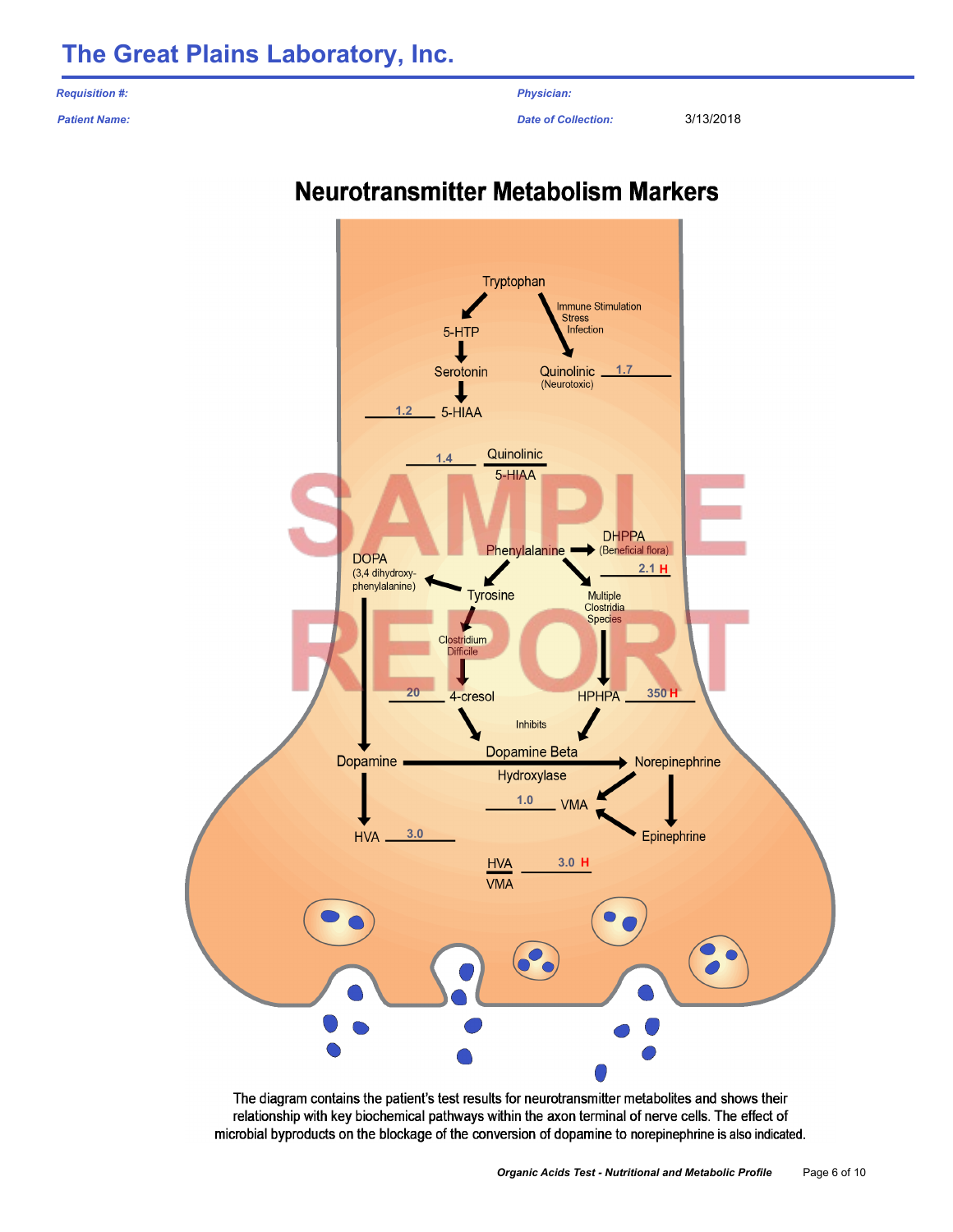*Requisition #:*

*Patient Name:*

*Physician:*

*Date of Collection:* 3/13/2018

# **Neurotransmitter Metabolism Markers**



The diagram contains the patient's test results for neurotransmitter metabolites and shows their relationship with key biochemical pathways within the axon terminal of nerve cells. The effect of microbial byproducts on the blockage of the conversion of dopamine to norepinephrine is also indicated.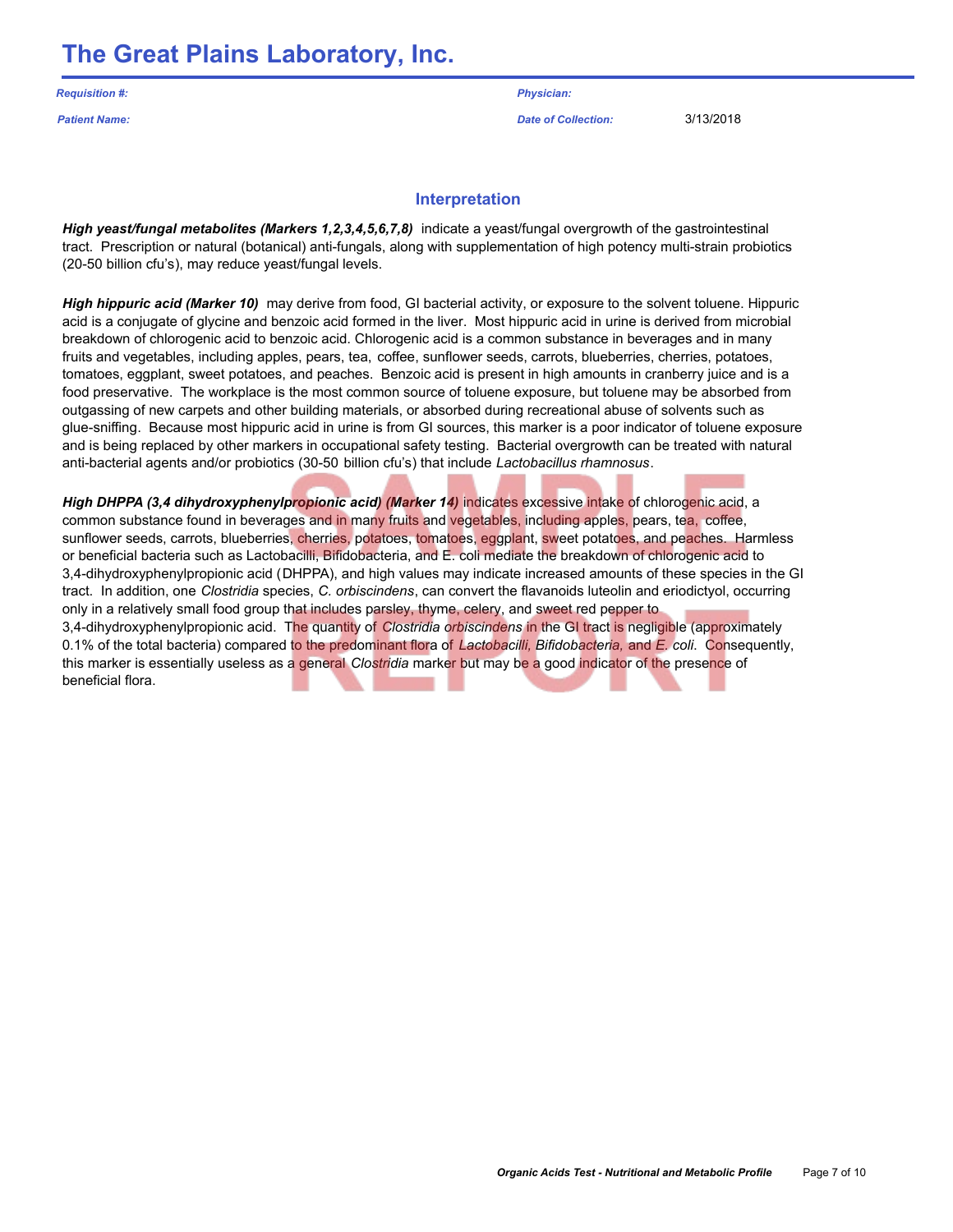*Requisition #:*

*Patient Name:*

*Physician:*

*Date of Collection:* 3/13/2018

### **Interpretation**

*High yeast/fungal metabolites (Markers 1,2,3,4,5,6,7,8)* indicate a yeast/fungal overgrowth of the gastrointestinal tract. Prescription or natural (botanical) anti-fungals, along with supplementation of high potency multi-strain probiotics (20-50 billion cfu's), may reduce yeast/fungal levels.

*High hippuric acid (Marker 10)* may derive from food, GI bacterial activity, or exposure to the solvent toluene. Hippuric acid is a conjugate of glycine and benzoic acid formed in the liver. Most hippuric acid in urine is derived from microbial breakdown of chlorogenic acid to benzoic acid. Chlorogenic acid is a common substance in beverages and in many fruits and vegetables, including apples, pears, tea, coffee, sunflower seeds, carrots, blueberries, cherries, potatoes, tomatoes, eggplant, sweet potatoes, and peaches. Benzoic acid is present in high amounts in cranberry juice and is a food preservative. The workplace is the most common source of toluene exposure, but toluene may be absorbed from outgassing of new carpets and other building materials, or absorbed during recreational abuse of solvents such as glue-sniffing. Because most hippuric acid in urine is from GI sources, this marker is a poor indicator of toluene exposure and is being replaced by other markers in occupational safety testing. Bacterial overgrowth can be treated with natural anti-bacterial agents and/or probiotics (30-50 billion cfu's) that include *Lactobacillus rhamnosus*.

*High DHPPA (3,4 dihydroxyphenylpropionic acid) (Marker 14)* indicates excessive intake of chlorogenic acid, a common substance found in beverages and in many fruits and vegetables, including apples, pears, tea, coffee, sunflower seeds, carrots, blueberries, cherries, potatoes, tomatoes, eggplant, sweet potatoes, and peaches. Harmless or beneficial bacteria such as Lactobacilli, Bifidobacteria, and E. coli mediate the breakdown of chlorogenic acid to 3,4-dihydroxyphenylpropionic acid (DHPPA), and high values may indicate increased amounts of these species in the GI tract. In addition, one *Clostridia* species, *C. orbiscindens*, can convert the flavanoids luteolin and eriodictyol, occurring only in a relatively small food group that includes parsley, thyme, celery, and sweet red pepper to 3,4-dihydroxyphenylpropionic acid. The quantity of *Clostridia orbiscindens* in the GI tract is negligible (approximately 0.1% of the total bacteria) compared to the predominant flora of *Lactobacilli, Bifidobacteria,* and *E. coli*. Consequently, this marker is essentially useless as a general *Clostridia* marker but may be a good indicator of the presence of beneficial flora.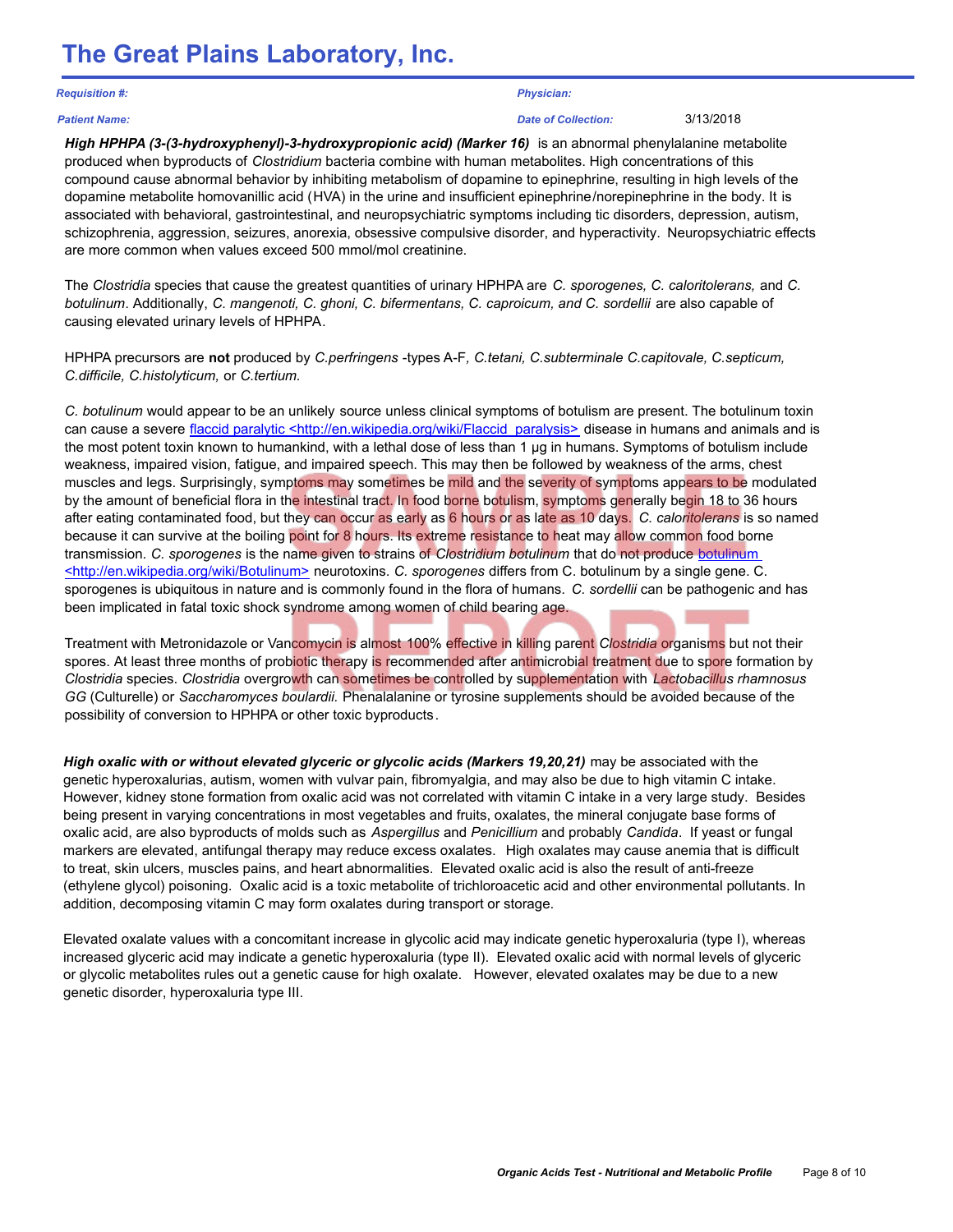| <b>Requisition #:</b> |  |  |  |
|-----------------------|--|--|--|
|-----------------------|--|--|--|

#### *Patient Name:*

### *Physician:*

*Date of Collection:* 3/13/2018

*High HPHPA (3-(3-hydroxyphenyl)-3-hydroxypropionic acid) (Marker 16)* is an abnormal phenylalanine metabolite produced when byproducts of *Clostridium* bacteria combine with human metabolites. High concentrations of this compound cause abnormal behavior by inhibiting metabolism of dopamine to epinephrine, resulting in high levels of the dopamine metabolite homovanillic acid (HVA) in the urine and insufficient epinephrine/norepinephrine in the body. It is associated with behavioral, gastrointestinal, and neuropsychiatric symptoms including tic disorders, depression, autism, schizophrenia, aggression, seizures, anorexia, obsessive compulsive disorder, and hyperactivity. Neuropsychiatric effects are more common when values exceed 500 mmol/mol creatinine.

The *Clostridia* species that cause the greatest quantities of urinary HPHPA are *C. sporogenes, C. caloritolerans,* and *C. botulinum*. Additionally, *C. mangenoti, C. ghoni, C. bifermentans, C. caproicum, and C. sordellii are also capable of* causing elevated urinary levels of HPHPA.

HPHPA precursors are **not** produced by *C.perfringens* -types A-F*, C.tetani, C.subterminale C.capitovale, C.septicum, C.difficile, C.histolyticum,* or *C.tertium.*

*C. botulinum* would appear to be an unlikely source unless clinical symptoms of botulism are present. The botulinum toxin can cause a severe flaccid paralytic <http://en.wikipedia.org/wiki/Flaccid\_paralysis> disease in humans and animals and is the most potent toxin known to humankind, with a lethal dose of less than 1 μg in humans. Symptoms of botulism include weakness, impaired vision, fatigue, and impaired speech. This may then be followed by weakness of the arms, chest muscles and legs. Surprisingly, symptoms may sometimes be mild and the severity of symptoms appears to be modulated by the amount of beneficial flora in the intestinal tract. In food borne botulism, symptoms generally begin 18 to 36 hours after eating contaminated food, but they can occur as early as 6 hours or as late as 10 days. *C. caloritolerans* is so named because it can survive at the boiling point for 8 hours. Its extreme resistance to heat may allow common food borne transmission. *C. sporogenes* is the name given to strains of *Clostridium botulinum* that do not produce botulinum <http://en.wikipedia.org/wiki/Botulinum> neurotoxins. *C. sporogenes* differs from C. botulinum by a single gene. C. sporogenes is ubiquitous in nature and is commonly found in the flora of humans. *C. sordellii* can be pathogenic and has been implicated in fatal toxic shock syndrome among women of child bearing age.

Treatment with Metronidazole or Vancomycin is almost 100% effective in killing parent *Clostridia* organisms but not their spores. At least three months of probiotic therapy is recommended after antimicrobial treatment due to spore formation by *Clostridia* species. *Clostridia* overgrowth can sometimes be controlled by supplementation with *Lactobacillus rhamnosus GG* (Culturelle) or *Saccharomyces boulardii.* Phenalalanine or tyrosine supplements should be avoided because of the possibility of conversion to HPHPA or other toxic byproducts.

*High oxalic with or without elevated glyceric or glycolic acids (Markers 19,20,21)* may be associated with the genetic hyperoxalurias, autism, women with vulvar pain, fibromyalgia, and may also be due to high vitamin C intake. However, kidney stone formation from oxalic acid was not correlated with vitamin C intake in a very large study. Besides being present in varying concentrations in most vegetables and fruits, oxalates, the mineral conjugate base forms of oxalic acid, are also byproducts of molds such as *Aspergillus* and *Penicillium* and probably *Candida*. If yeast or fungal markers are elevated, antifungal therapy may reduce excess oxalates. High oxalates may cause anemia that is difficult to treat, skin ulcers, muscles pains, and heart abnormalities. Elevated oxalic acid is also the result of anti-freeze (ethylene glycol) poisoning. Oxalic acid is a toxic metabolite of trichloroacetic acid and other environmental pollutants. In addition, decomposing vitamin C may form oxalates during transport or storage.

Elevated oxalate values with a concomitant increase in glycolic acid may indicate genetic hyperoxaluria (type I), whereas increased glyceric acid may indicate a genetic hyperoxaluria (type II). Elevated oxalic acid with normal levels of glyceric or glycolic metabolites rules out a genetic cause for high oxalate. However, elevated oxalates may be due to a new genetic disorder, hyperoxaluria type III.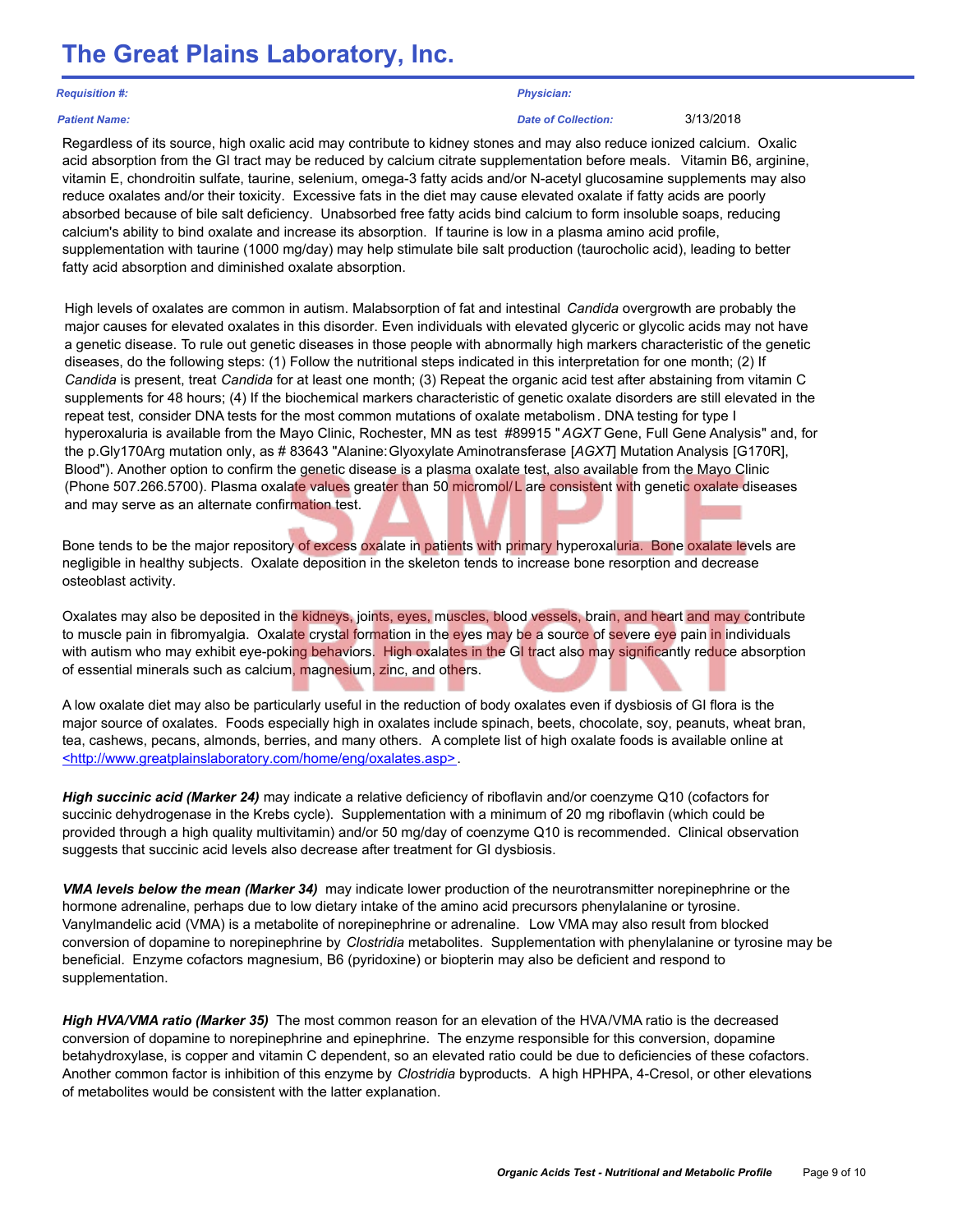#### *Requisition #:*

#### *Patient Name:*

### Regardless of its source, high oxalic acid may contribute to kidney stones and may also reduce ionized calcium. Oxalic acid absorption from the GI tract may be reduced by calcium citrate supplementation before meals. Vitamin B6, arginine, vitamin E, chondroitin sulfate, taurine, selenium, omega-3 fatty acids and/or N-acetyl glucosamine supplements may also reduce oxalates and/or their toxicity. Excessive fats in the diet may cause elevated oxalate if fatty acids are poorly absorbed because of bile salt deficiency. Unabsorbed free fatty acids bind calcium to form insoluble soaps, reducing calcium's ability to bind oxalate and increase its absorption. If taurine is low in a plasma amino acid profile, supplementation with taurine (1000 mg/day) may help stimulate bile salt production (taurocholic acid), leading to better fatty acid absorption and diminished oxalate absorption.

High levels of oxalates are common in autism. Malabsorption of fat and intestinal *Candida* overgrowth are probably the major causes for elevated oxalates in this disorder. Even individuals with elevated glyceric or glycolic acids may not have a genetic disease. To rule out genetic diseases in those people with abnormally high markers characteristic of the genetic diseases, do the following steps: (1) Follow the nutritional steps indicated in this interpretation for one month; (2) If *Candida* is present, treat *Candida* for at least one month; (3) Repeat the organic acid test after abstaining from vitamin C supplements for 48 hours; (4) If the biochemical markers characteristic of genetic oxalate disorders are still elevated in the repeat test, consider DNA tests for the most common mutations of oxalate metabolism. DNA testing for type I hyperoxaluria is available from the Mayo Clinic, Rochester, MN as test #89915 "*AGXT* Gene, Full Gene Analysis" and, for the p.Gly170Arg mutation only, as # 83643 "Alanine:Glyoxylate Aminotransferase [*AGXT*] Mutation Analysis [G170R], Blood"). Another option to confirm the genetic disease is a plasma oxalate test, also available from the Mayo Clinic (Phone 507.266.5700). Plasma oxalate values greater than 50 micromol/L are consistent with genetic oxalate diseases and may serve as an alternate confirmation test.

Bone tends to be the major repository of excess oxalate in patients with primary hyperoxaluria. Bone oxalate levels are negligible in healthy subjects. Oxalate deposition in the skeleton tends to increase bone resorption and decrease osteoblast activity.

Oxalates may also be deposited in the kidneys, joints, eyes, muscles, blood vessels, brain, and heart and may contribute to muscle pain in fibromyalgia. Oxalate crystal formation in the eyes may be a source of severe eye pain in individuals with autism who may exhibit eye-poking behaviors. High oxalates in the GI tract also may significantly reduce absorption of essential minerals such as calcium, magnesium, zinc, and others.

A low oxalate diet may also be particularly useful in the reduction of body oxalates even if dysbiosis of GI flora is the major source of oxalates. Foods especially high in oxalates include spinach, beets, chocolate, soy, peanuts, wheat bran, tea, cashews, pecans, almonds, berries, and many others. A complete list of high oxalate foods is available online at <http://www.greatplainslaboratory.com/home/eng/oxalates.asp>.

*High succinic acid (Marker 24)* may indicate a relative deficiency of riboflavin and/or coenzyme Q10 (cofactors for succinic dehydrogenase in the Krebs cycle). Supplementation with a minimum of 20 mg riboflavin (which could be provided through a high quality multivitamin) and/or 50 mg/day of coenzyme Q10 is recommended. Clinical observation suggests that succinic acid levels also decrease after treatment for GI dysbiosis.

*VMA levels below the mean (Marker 34)* may indicate lower production of the neurotransmitter norepinephrine or the hormone adrenaline, perhaps due to low dietary intake of the amino acid precursors phenylalanine or tyrosine. Vanylmandelic acid (VMA) is a metabolite of norepinephrine or adrenaline. Low VMA may also result from blocked conversion of dopamine to norepinephrine by *Clostridia* metabolites. Supplementation with phenylalanine or tyrosine may be beneficial. Enzyme cofactors magnesium, B6 (pyridoxine) or biopterin may also be deficient and respond to supplementation.

*High HVA/VMA ratio (Marker 35)* The most common reason for an elevation of the HVA/VMA ratio is the decreased conversion of dopamine to norepinephrine and epinephrine. The enzyme responsible for this conversion, dopamine betahydroxylase, is copper and vitamin C dependent, so an elevated ratio could be due to deficiencies of these cofactors. Another common factor is inhibition of this enzyme by *Clostridia* byproducts. A high HPHPA, 4-Cresol, or other elevations of metabolites would be consistent with the latter explanation.

*Physician:*

*Date of Collection:* 3/13/2018